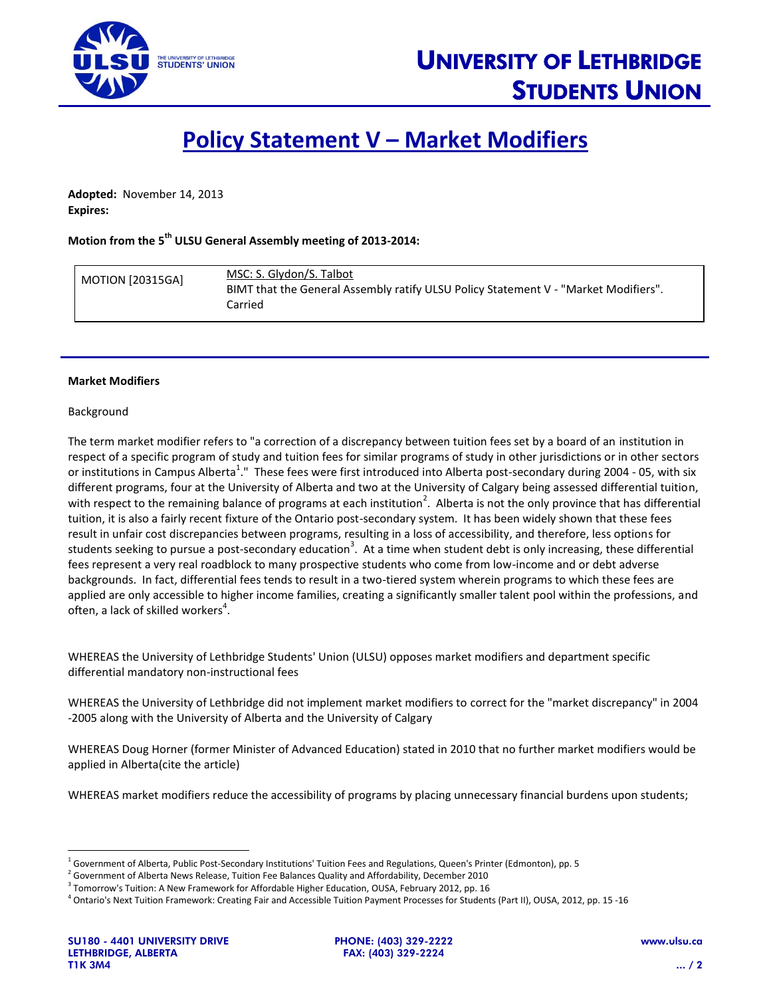

# **Policy Statement V – Market Modifiers**

**Adopted:** November 14, 2013 **Expires:**

## **Motion from the 5 th ULSU General Assembly meeting of 2013-2014:**

| <b>MOTION [20315GA]</b> | MSC: S. Glydon/S. Talbot<br>BIMT that the General Assembly ratify ULSU Policy Statement V - "Market Modifiers".<br>Carried |
|-------------------------|----------------------------------------------------------------------------------------------------------------------------|
|                         |                                                                                                                            |

#### **Market Modifiers**

#### Background

The term market modifier refers to "a correction of a discrepancy between tuition fees set by a board of an institution in respect of a specific program of study and tuition fees for similar programs of study in other jurisdictions or in other sectors or institutions in Campus Alberta<sup>1</sup>." These fees were first introduced into Alberta post-secondary during 2004 - 05, with six different programs, four at the University of Alberta and two at the University of Calgary being assessed differential tuition, with respect to the remaining balance of programs at each institution<sup>2</sup>. Alberta is not the only province that has differential tuition, it is also a fairly recent fixture of the Ontario post-secondary system. It has been widely shown that these fees result in unfair cost discrepancies between programs, resulting in a loss of accessibility, and therefore, less options for students seeking to pursue a post-secondary education<sup>3</sup>. At a time when student debt is only increasing, these differential fees represent a very real roadblock to many prospective students who come from low-income and or debt adverse backgrounds. In fact, differential fees tends to result in a two-tiered system wherein programs to which these fees are applied are only accessible to higher income families, creating a significantly smaller talent pool within the professions, and often, a lack of skilled workers<sup>4</sup>.

WHEREAS the University of Lethbridge Students' Union (ULSU) opposes market modifiers and department specific differential mandatory non-instructional fees

WHEREAS the University of Lethbridge did not implement market modifiers to correct for the "market discrepancy" in 2004 -2005 along with the University of Alberta and the University of Calgary

WHEREAS Doug Horner (former Minister of Advanced Education) stated in 2010 that no further market modifiers would be applied in Alberta(cite the article)

WHEREAS market modifiers reduce the accessibility of programs by placing unnecessary financial burdens upon students;

l

<sup>&</sup>lt;sup>1</sup> Government of Alberta, Public Post-Secondary Institutions' Tuition Fees and Regulations, Queen's Printer (Edmonton), pp. 5

 $^2$  Government of Alberta News Release, Tuition Fee Balances Quality and Affordability, December 2010

 $^3$  Tomorrow's Tuition: A New Framework for Affordable Higher Education, OUSA, February 2012, pp. 16

<sup>4</sup> Ontario's Next Tuition Framework: Creating Fair and Accessible Tuition Payment Processes for Students (Part II), OUSA, 2012, pp. 15 -16